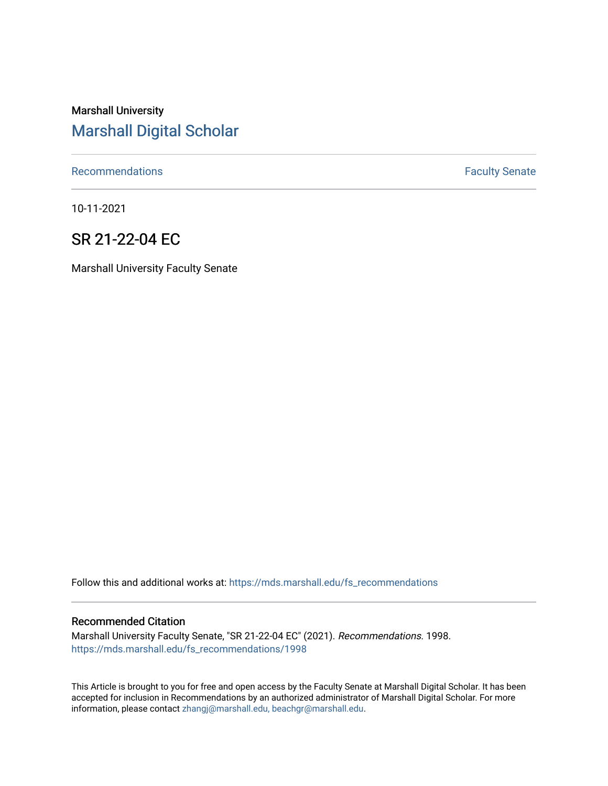# Marshall University [Marshall Digital Scholar](https://mds.marshall.edu/)

[Recommendations](https://mds.marshall.edu/fs_recommendations) **Faculty** Senate

10-11-2021

# SR 21-22-04 EC

Marshall University Faculty Senate

Follow this and additional works at: [https://mds.marshall.edu/fs\\_recommendations](https://mds.marshall.edu/fs_recommendations?utm_source=mds.marshall.edu%2Ffs_recommendations%2F1998&utm_medium=PDF&utm_campaign=PDFCoverPages)

#### Recommended Citation

Marshall University Faculty Senate, "SR 21-22-04 EC" (2021). Recommendations. 1998. [https://mds.marshall.edu/fs\\_recommendations/1998](https://mds.marshall.edu/fs_recommendations/1998?utm_source=mds.marshall.edu%2Ffs_recommendations%2F1998&utm_medium=PDF&utm_campaign=PDFCoverPages) 

This Article is brought to you for free and open access by the Faculty Senate at Marshall Digital Scholar. It has been accepted for inclusion in Recommendations by an authorized administrator of Marshall Digital Scholar. For more information, please contact [zhangj@marshall.edu, beachgr@marshall.edu](mailto:zhangj@marshall.edu,%20beachgr@marshall.edu).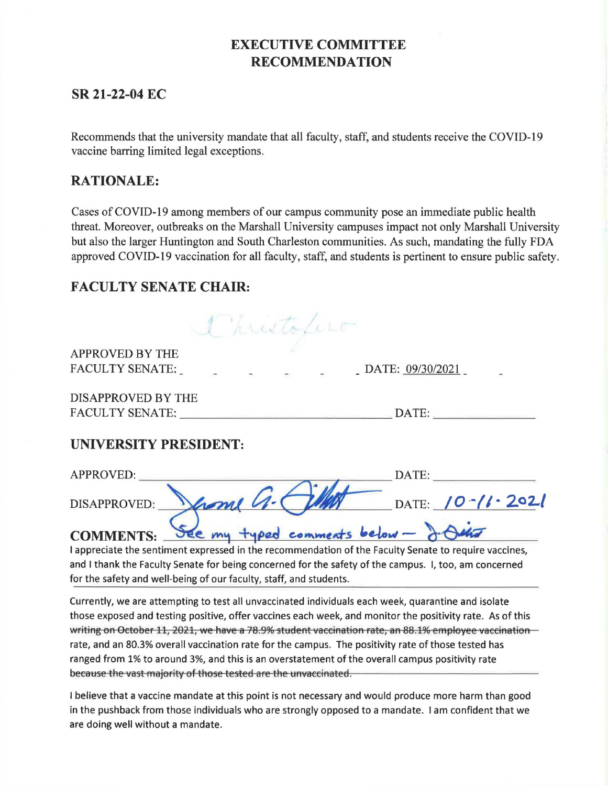# **EXECUTIVE COMMITTEE RECOMMENDATION**

## **SR 21-22-04 EC**

Recommends that the university mandate that all faculty, staff, and students receive the COVID-19 vaccine barring limited legal exceptions.

### **RATIONALE:**

Cases of COVID-19 among members of our campus community pose an immediate public health threat. Moreover, outbreaks on the Marshall University campuses impact not only Marshall University but also the larger Huntington and South Charleston communities. As such, mandating the fully FDA approved COVID-19 vaccination for all faculty, staff, and students is pertinent to ensure public safety.

## **FACULTY SENATE CHAIR:**

Christofico

APPROVED BY THE FACULTY SENATE:

 $-$  DATE:  $09/30/2021$ 

DISAPPROVED BY THE FACULTY SENATE: DATE: ---------------- --------

## **UNIVERSITY PRESIDENT:**

| UNIVERSITY PRESIDENT:                                      |                        |
|------------------------------------------------------------|------------------------|
| APPROVED:                                                  | DATE:                  |
| from G.C<br>DISAPPROVED:                                   | DATE: $10 - 11 - 2021$ |
| See my typed comments below - J. Julia<br><b>COMMENTS:</b> |                        |

I appreciate the sentiment expressed in the recommendation of the Faculty Senate to require vaccines, and I thank the Faculty Senate for being concerned for the safety of the campus. I, too, am concerned for the safety and well-being of our faculty, staff, and students.

Currently, we are attempting to test all unvaccinated individuals each week, quarantine and isolate those exposed and testing positive, offer vaccines each week, and monitor the positivity rate. As of this writing on October 11, 2021, we have a 78.9% student vaccination rate, an 88.1% employee vaccination rate, and an 80.3% overall vaccination rate for the campus. The positivity rate of those tested has ranged from 1% to around 3%, and this is an overstatement of the overall campus positivity rate because the vast majority of those tested are the unvaccinated.

I believe that a vaccine mandate at this point is not necessary and would produce more harm than good in the pushback from those individuals who are strongly opposed to a mandate. I am confident that we are doing well without a mandate.